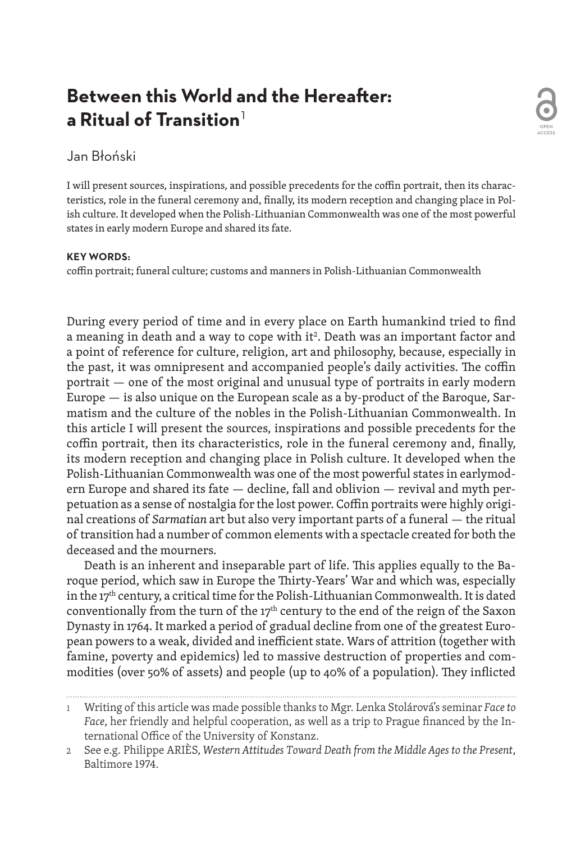# **Between this World and the Hereafter: a Ritual of Transition**<sup>1</sup>

## Jan Błoński

I will present sources, inspirations, and possible precedents for the coffin portrait, then its characteristics, role in the funeral ceremony and, finally, its modern reception and changing place in Polish culture. It developed when the Polish-Lithuanian Commonwealth was one of the most powerful states in early modern Europe and shared its fate.

#### **KEY WORDS:**

coffin portrait; funeral culture; customs and manners in Polish-Lithuanian Commonwealth

During every period of time and in every place on Earth humankind tried to find a meaning in death and a way to cope with it<sup>2</sup>. Death was an important factor and a point of reference for culture, religion, art and philosophy, because, especially in the past, it was omnipresent and accompanied people's daily activities. The coffin portrait — one of the most original and unusual type of portraits in early modern Europe — is also unique on the European scale as a by-product of the Baroque, Sarmatism and the culture of the nobles in the Polish-Lithuanian Commonwealth. In this article I will present the sources, inspirations and possible precedents for the coffin portrait, then its characteristics, role in the funeral ceremony and, finally, its modern reception and changing place in Polish culture. It developed when the Polish-Lithuanian Commonwealth was one of the most powerful states in earlymodern Europe and shared its fate — decline, fall and oblivion — revival and myth perpetuation as a sense of nostalgia for the lost power. Coffin portraits were highly original creations of *Sarmatian* art but also very important parts of a funeral — the ritual of transition had a number of common elements with a spectacle created for both the deceased and the mourners.

Death is an inherent and inseparable part of life. This applies equally to the Baroque period, which saw in Europe the Thirty-Years' War and which was, especially in the 17<sup>th</sup> century, a critical time for the Polish-Lithuanian Commonwealth. It is dated conventionally from the turn of the  $17<sup>th</sup>$  century to the end of the reign of the Saxon Dynasty in 1764. It marked a period of gradual decline from one of the greatest European powers to a weak, divided and inefficient state. Wars of attrition (together with famine, poverty and epidemics) led to massive destruction of properties and commodities (over 50% of assets) and people (up to 40% of a population). They inflicted

1 Writing of this article was made possible thanks to Mgr. Lenka Stolárová's seminar *Faceto Face*, her friendly and helpful cooperation, as well as a trip to Prague financed by the International Office of the University of Konstanz.

<sup>2</sup> See e.g. Philippe ARIÈS, *Western Attitudes Toward Death from the Middle Ages to the Present*, Baltimore 1974.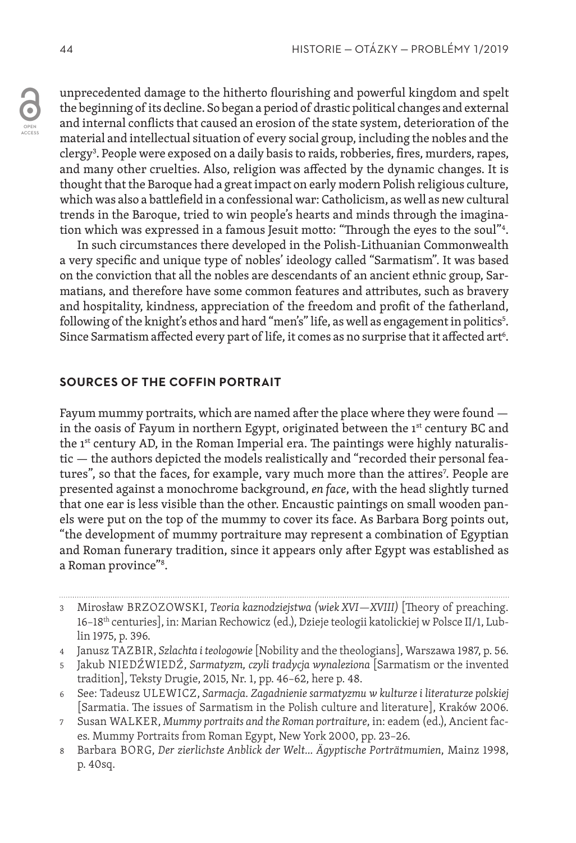unprecedented damage to the hitherto flourishing and powerful kingdom and spelt the beginning of its decline. So began a period of drastic political changes and external and internal conflicts that caused an erosion of the state system, deterioration of the material and intellectual situation of every social group, including the nobles and the clergy<sup>3</sup>. People were exposed on a daily basis to raids, robberies, fires, murders, rapes, and many other cruelties. Also, religion was affected by the dynamic changes. It is thought that the Baroque had a great impact on early modern Polish religious culture, which was also a battlefield in a confessional war: Catholicism, as well as new cultural trends in the Baroque, tried to win people's hearts and minds through the imagination which was expressed in a famous Jesuit motto: "Through the eyes to the soul"4 .

In such circumstances there developed in the Polish-Lithuanian Commonwealth a very specific and unique type of nobles' ideology called "Sarmatism". It was based on the conviction that all the nobles are descendants of an ancient ethnic group, Sarmatians, and therefore have some common features and attributes, such as bravery and hospitality, kindness, appreciation of the freedom and profit of the fatherland, following of the knight's ethos and hard "men's" life, as well as engagement in politics<sup>s</sup>. Since Sarmatism affected every part of life, it comes as no surprise that it affected art<sup>6</sup>.

### **SOURCES OF THE COFFIN PORTRAIT**

Fayum mummy portraits, which are named after the place where they were found in the oasis of Fayum in northern Egypt, originated between the  $1<sup>st</sup>$  century BC and the 1st century AD, in the Roman Imperial era. The paintings were highly naturalistic — the authors depicted the models realistically and "recorded their personal features", so that the faces, for example, vary much more than the attires<sup>7</sup>. People are presented against a monochrome background, *en face*, with the head slightly turned that one ear is less visible than the other. Encaustic paintings on small wooden panels were put on the top of the mummy to cover its face. As Barbara Borg points out, "the development of mummy portraiture may represent a combination of Egyptian and Roman funerary tradition, since it appears only after Egypt was established as a Roman province"8 .

- 4 Janusz TAZBIR, *Szlachta i teologowie* [Nobility and the theologians], Warszawa 1987, p. 56.
- 5 Jakub NIEDŹWIEDŹ, *Sarmatyzm, czyli tradycja wynaleziona* [Sarmatism or the invented tradition], Teksty Drugie, 2015, Nr. 1, pp. 46–62, here p. 48.
- 6 See: Tadeusz ULEWICZ, *Sarmacja. Zagadnienie sarmatyzmu w kulturze i literaturze polskiej*  [Sarmatia. The issues of Sarmatism in the Polish culture and literature], Kraków 2006.
- 7 Susan WALKER, *Mummy portraits and the Roman portraiture*, in: eadem (ed.), Ancient faces. Mummy Portraits from Roman Egypt, New York 2000, pp. 23–26.
- 8 Barbara BORG, *Der zierlichste Anblick der Welt… Ägyptische Porträtmumien*, Mainz 1998, p. 40sq.

<sup>3</sup> Mirosław BRZOZOWSKI, *Teoria kaznodziejstwa (wiek XVI—XVIII)* [Theory of preaching. 16–18<sup>th</sup> centuries], in: Marian Rechowicz (ed.), Dzieje teologii katolickiej w Polsce II/1, Lublin 1975, p. 396.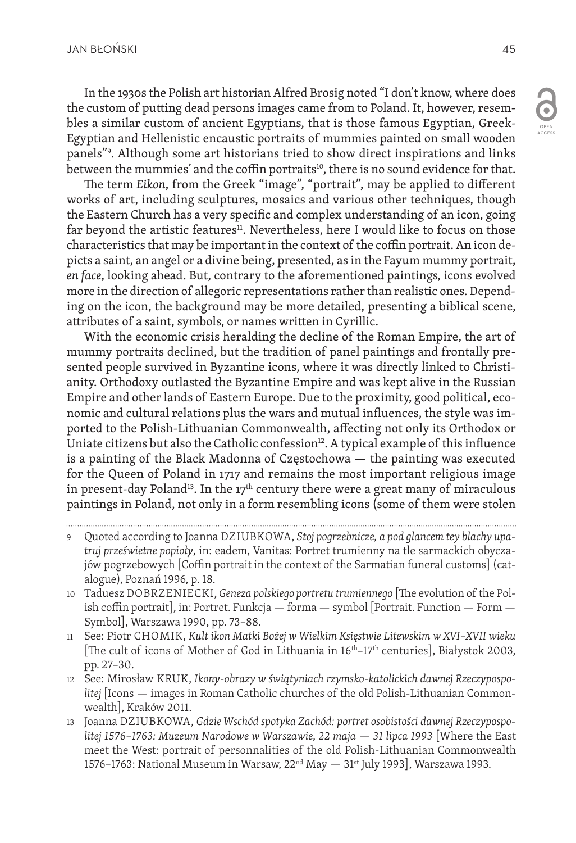In the 1930s the Polish art historian Alfred Brosig noted "I don't know, where does the custom of putting dead persons images came from to Poland. It, however, resembles a similar custom of ancient Egyptians, that is those famous Egyptian, Greek-Egyptian and Hellenistic encaustic portraits of mummies painted on small wooden panels"9 . Although some art historians tried to show direct inspirations and links between the mummies' and the coffin portraits<sup>10</sup>, there is no sound evidence for that.

The term *Eikon*, from the Greek "image", "portrait", may be applied to different works of art, including sculptures, mosaics and various other techniques, though the Eastern Church has a very specific and complex understanding of an icon, going far beyond the artistic features<sup>11</sup>. Nevertheless, here I would like to focus on those characteristics that may be important in the context of the coffin portrait. An icon depicts a saint, an angel or a divine being, presented, as in the Fayum mummy portrait, *en face*, looking ahead. But, contrary to the aforementioned paintings, icons evolved more in the direction of allegoric representations rather than realistic ones. Depending on the icon, the background may be more detailed, presenting a biblical scene, attributes of a saint, symbols, or names written in Cyrillic.

With the economic crisis heralding the decline of the Roman Empire, the art of mummy portraits declined, but the tradition of panel paintings and frontally presented people survived in Byzantine icons, where it was directly linked to Christianity. Orthodoxy outlasted the Byzantine Empire and was kept alive in the Russian Empire and other lands of Eastern Europe. Due to the proximity, good political, economic and cultural relations plus the wars and mutual influences, the style was imported to the Polish-Lithuanian Commonwealth, affecting not only its Orthodox or Uniate citizens but also the Catholic confession $12$ . A typical example of this influence is a painting of the Black Madonna of Częstochowa — the painting was executed for the Queen of Poland in 1717 and remains the most important religious image in present-day Poland<sup>13</sup>. In the 17<sup>th</sup> century there were a great many of miraculous paintings in Poland, not only in a form resembling icons (some of them were stolen

- 9 Quoted according to Joanna DZIUBKOWA, *Stoj pogrzebnicze, a pod glancem tey blachy upatruj prześwietne popioły*, in: eadem, Vanitas: Portret trumienny na tle sarmackich obyczajów pogrzebowych [Coffin portrait in the context of the Sarmatian funeral customs] (catalogue), Poznań 1996, p. 18.
- 10 Taduesz DOBRZENIECKI, *Geneza polskiego portretu trumiennego* [The evolution of the Polish coffin portrait], in: Portret. Funkcja — forma — symbol [Portrait. Function — Form — Symbol], Warszawa 1990, pp. 73–88.
- 11 See: Piotr CHOMIK, *Kult ikon Matki Bożej w Wielkim Księstwie Litewskim w XVI–XVII wieku*  [The cult of icons of Mother of God in Lithuania in 16<sup>th</sup>-17<sup>th</sup> centuries], Białystok 2003, pp. 27–30.
- 12 See: Mirosław KRUK, *Ikony-obrazy w świątyniach rzymsko-katolickich dawnej Rzeczypospolitej* [Icons — images in Roman Catholic churches of the old Polish-Lithuanian Commonwealth], Kraków 2011.
- 13 Joanna DZIUBKOWA, *Gdzie Wschód spotyka Zachód: portret osobistości dawnej Rzeczypospolitej 1576–1763: Muzeum Narodowe w Warszawie, 22 maja — 31 lipca 1993* [Where the East meet the West: portrait of personnalities of the old Polish-Lithuanian Commonwealth 1576–1763: National Museum in Warsaw, 22nd May — 31st July 1993], Warszawa 1993.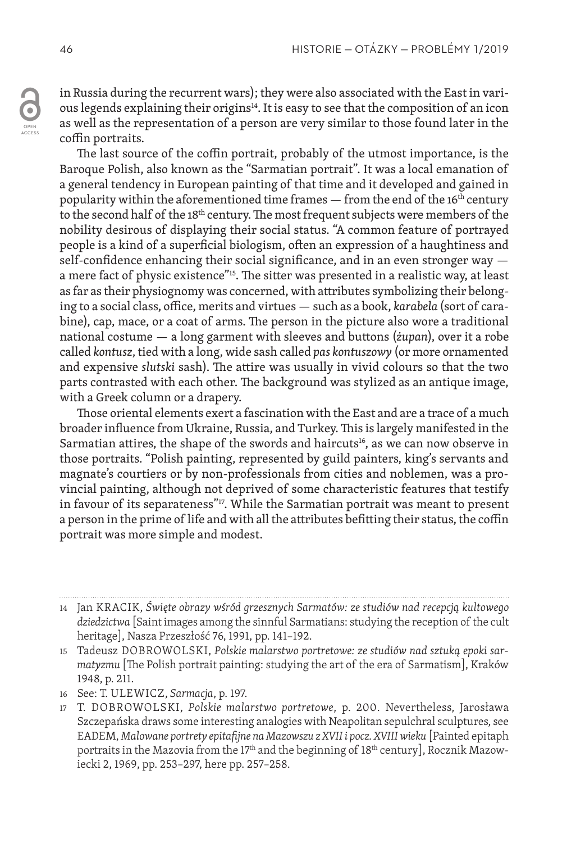in Russia during the recurrent wars); they were also associated with the East in various legends explaining their origins<sup>14</sup>. It is easy to see that the composition of an icon as well as the representation of a person are very similar to those found later in the coffin portraits.

The last source of the coffin portrait, probably of the utmost importance, is the Baroque Polish, also known as the "Sarmatian portrait". It was a local emanation of a general tendency in European painting of that time and it developed and gained in popularity within the aforementioned time frames  $-$  from the end of the 16<sup>th</sup> century to the second half of the  $18<sup>th</sup>$  century. The most frequent subjects were members of the nobility desirous of displaying their social status. "A common feature of portrayed people is a kind of a superficial biologism, often an expression of a haughtiness and self-confidence enhancing their social significance, and in an even stronger way a mere fact of physic existence"15. The sitter was presented in a realistic way, at least as far as their physiognomy was concerned, with attributes symbolizing their belonging to a social class, office, merits and virtues — such as a book, *karabela* (sort of carabine), cap, mace, or a coat of arms. The person in the picture also wore a traditional national costume — a long garment with sleeves and buttons (*żupan*), over it a robe called *kontusz*, tied with a long, wide sash called *pas kontuszowy* (or more ornamented and expensive *slutski* sash). The attire was usually in vivid colours so that the two parts contrasted with each other. The background was stylized as an antique image, with a Greek column or a drapery.

Those oriental elements exert a fascination with the East and are a trace of a much broader influence from Ukraine, Russia, and Turkey. This is largely manifested in the Sarmatian attires, the shape of the swords and haircuts<sup>16</sup>, as we can now observe in those portraits. "Polish painting, represented by guild painters, king's servants and magnate's courtiers or by non-professionals from cities and noblemen, was a provincial painting, although not deprived of some characteristic features that testify in favour of its separateness"<sup>17</sup>. While the Sarmatian portrait was meant to present a person in the prime of life and with all the attributes befitting their status, the coffin portrait was more simple and modest.

<sup>14</sup> Jan KRACIK, *Święte obrazy wśród grzesznych Sarmatów: ze studiów nad recepcją kultowego dziedzictwa* [Saint images among the sinnful Sarmatians: studying the reception of the cult heritage], Nasza Przeszłość 76, 1991, pp. 141–192.

<sup>15</sup> Tadeusz DOBROWOLSKI, *Polskie malarstwo portretowe: ze studiów nad sztuką epoki sarmatyzmu* [The Polish portrait painting: studying the art of the era of Sarmatism], Kraków 1948, p. 211.

<sup>16</sup> See: T. ULEWICZ, *Sarmacja*, p. 197.

<sup>17</sup> T. DOBROWOLSKI, *Polskie malarstwo portretowe*, p. 200. Nevertheless, Jarosława Szczepańska draws some interesting analogies with Neapolitan sepulchral sculptures, see EADEM, *Malowane portrety epitafijne na Mazowszu z XVII i pocz. XVIII wieku* [Painted epitaph portraits in the Mazovia from the 17<sup>th</sup> and the beginning of 18<sup>th</sup> century], Rocznik Mazowiecki 2, 1969, pp. 253–297, here pp. 257–258.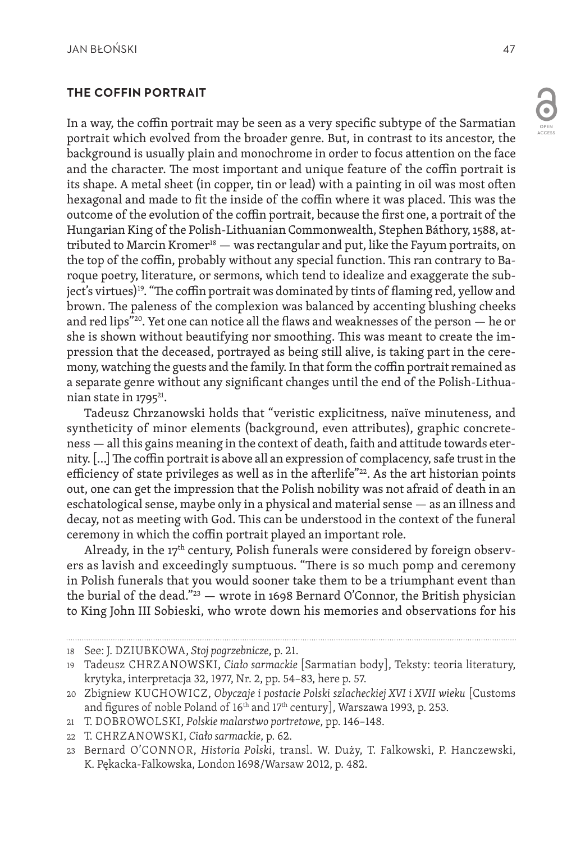### **THE COFFIN PORTRAIT**

In a way, the coffin portrait may be seen as a very specific subtype of the Sarmatian portrait which evolved from the broader genre. But, in contrast to its ancestor, the background is usually plain and monochrome in order to focus attention on the face and the character. The most important and unique feature of the coffin portrait is its shape. A metal sheet (in copper, tin or lead) with a painting in oil was most often hexagonal and made to fit the inside of the coffin where it was placed. This was the outcome of the evolution of the coffin portrait, because the first one, a portrait of the Hungarian King of the Polish-Lithuanian Commonwealth, Stephen Báthory, 1588, attributed to Marcin Kromer<sup>18</sup> — was rectangular and put, like the Fayum portraits, on the top of the coffin, probably without any special function. This ran contrary to Baroque poetry, literature, or sermons, which tend to idealize and exaggerate the subject's virtues)<sup>19</sup>. "The coffin portrait was dominated by tints of flaming red, yellow and brown. The paleness of the complexion was balanced by accenting blushing cheeks and red lips"<sup>20</sup>. Yet one can notice all the flaws and weaknesses of the person  $-$  he or she is shown without beautifying nor smoothing. This was meant to create the impression that the deceased, portrayed as being still alive, is taking part in the ceremony, watching the guests and the family. In that form the coffin portrait remained as a separate genre without any significant changes until the end of the Polish-Lithuanian state in 1795<sup>21</sup>.

Tadeusz Chrzanowski holds that "veristic explicitness, naïve minuteness, and syntheticity of minor elements (background, even attributes), graphic concreteness — all this gains meaning in the context of death, faith and attitude towards eternity. […] The coffin portrait is above all an expression of complacency, safe trust in the efficiency of state privileges as well as in the afterlife"<sup>22</sup>. As the art historian points out, one can get the impression that the Polish nobility was not afraid of death in an eschatological sense, maybe only in a physical and material sense — as an illness and decay, not as meeting with God. This can be understood in the context of the funeral ceremony in which the coffin portrait played an important role.

Already, in the  $17<sup>th</sup>$  century, Polish funerals were considered by foreign observers as lavish and exceedingly sumptuous. "There is so much pomp and ceremony in Polish funerals that you would sooner take them to be a triumphant event than the burial of the dead." $23$  — wrote in 1698 Bernard O'Connor, the British physician to King John III Sobieski, who wrote down his memories and observations for his

<sup>18</sup> See: J. DZIUBKOWA, *Stoj pogrzebnicze*, p. 21.

<sup>19</sup> Tadeusz CHRZANOWSKI, *Ciało sarmackie* [Sarmatian body], Teksty: teoria literatury, krytyka, interpretacja 32, 1977, Nr. 2, pp. 54–83, here p. 57.

<sup>20</sup> Zbigniew KUCHOWICZ, *Obyczaje i postacie Polski szlacheckiej XVI i XVII wieku* [Customs and figures of noble Poland of 16<sup>th</sup> and 17<sup>th</sup> century], Warszawa 1993, p. 253.

<sup>21</sup> T. DOBROWOLSKI, *Polskie malarstwo portretowe*, pp. 146–148.

<sup>22</sup> T. CHRZANOWSKI, *Ciało sarmackie*, p. 62.

<sup>23</sup> Bernard O'CONNOR, *Historia Polski*, transl. W. Duży, T. Falkowski, P. Hanczewski, K. Pękacka-Falkowska, London 1698/Warsaw 2012, p. 482.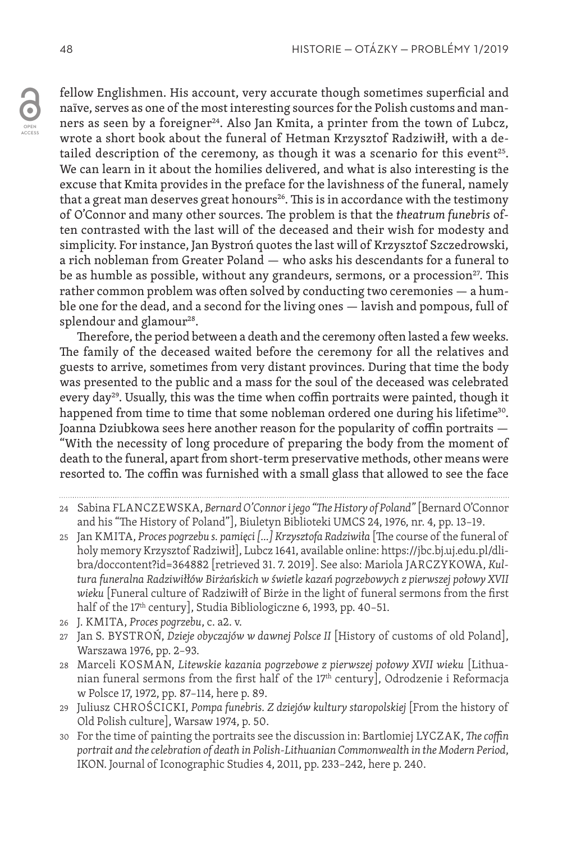fellow Englishmen. His account, very accurate though sometimes superficial and naïve, serves as one of the most interesting sources for the Polish customs and manners as seen by a foreigner<sup>24</sup>. Also Jan Kmita, a printer from the town of Lubcz, wrote a short book about the funeral of Hetman Krzysztof Radziwiłł, with a detailed description of the ceremony, as though it was a scenario for this event<sup>25</sup>. We can learn in it about the homilies delivered, and what is also interesting is the excuse that Kmita provides in the preface for the lavishness of the funeral, namely that a great man deserves great honours<sup>26</sup>. This is in accordance with the testimony of O'Connor and many other sources. The problem is that the *theatrum funebris* often contrasted with the last will of the deceased and their wish for modesty and simplicity. For instance, Jan Bystroń quotes the last will of Krzysztof Szczedrowski, a rich nobleman from Greater Poland — who asks his descendants for a funeral to be as humble as possible, without any grandeurs, sermons, or a procession<sup>27</sup>. This rather common problem was often solved by conducting two ceremonies — a humble one for the dead, and a second for the living ones — lavish and pompous, full of splendour and glamour<sup>28</sup>.

Therefore, the period between a death and the ceremony often lasted a few weeks. The family of the deceased waited before the ceremony for all the relatives and guests to arrive, sometimes from very distant provinces. During that time the body was presented to the public and a mass for the soul of the deceased was celebrated every day<sup>29</sup>. Usually, this was the time when coffin portraits were painted, though it happened from time to time that some nobleman ordered one during his lifetime<sup>30</sup>. Joanna Dziubkowa sees here another reason for the popularity of coffin portraits — "With the necessity of long procedure of preparing the body from the moment of death to the funeral, apart from short-term preservative methods, other means were resorted to. The coffin was furnished with a small glass that allowed to see the face

- 25 Jan KMITA, *Proces pogrzebu s. pamięci […] Krzysztofa Radziwiła* [The course of the funeral of holy memory Krzysztof Radziwił], Lubcz 1641, available online: https://jbc.bj.uj.edu.pl/dlibra/doccontent?id=364882 [retrieved 31. 7. 2019]. See also: Mariola JARCZYKOWA, *Kultura funeralna Radziwiłłów Birżańskich w świetle kazań pogrzebowych z pierwszej połowy XVII wieku* [Funeral culture of Radziwiłł of Birże in the light of funeral sermons from the first half of the 17<sup>th</sup> century], Studia Bibliologiczne 6, 1993, pp. 40-51.
- 26 J. KMITA, *Proces pogrzebu*, c. a2. v.
- 27 Jan S. BYSTROŃ, *Dzieje obyczajów w dawnej Polsce II* [History of customs of old Poland], Warszawa 1976, pp. 2–93.
- 28 Marceli KOSMAN, *Litewskie kazania pogrzebowe z pierwszej połowy XVII wieku* [Lithuanian funeral sermons from the first half of the 17th century], Odrodzenie i Reformacja w Polsce 17, 1972, pp. 87–114, here p. 89.
- 29 Juliusz CHROŚCICKI, *Pompa funebris. Z dziejów kultury staropolskiej* [From the history of Old Polish culture], Warsaw 1974, p. 50.
- 30 For the time of painting the portraits see the discussion in: Bartlomiej LYCZAK, *The coffin portrait and the celebration of death in Polish-Lithuanian Commonwealth in the Modern Period*, IKON. Journal of Iconographic Studies 4, 2011, pp. 233–242, here p. 240.

<sup>24</sup> Sabina FLANCZEWSKA, *Bernard O'Connor i jego "The History of Poland"* [Bernard O'Connor and his "The History of Poland"], Biuletyn Biblioteki UMCS 24, 1976, nr. 4, pp. 13–19.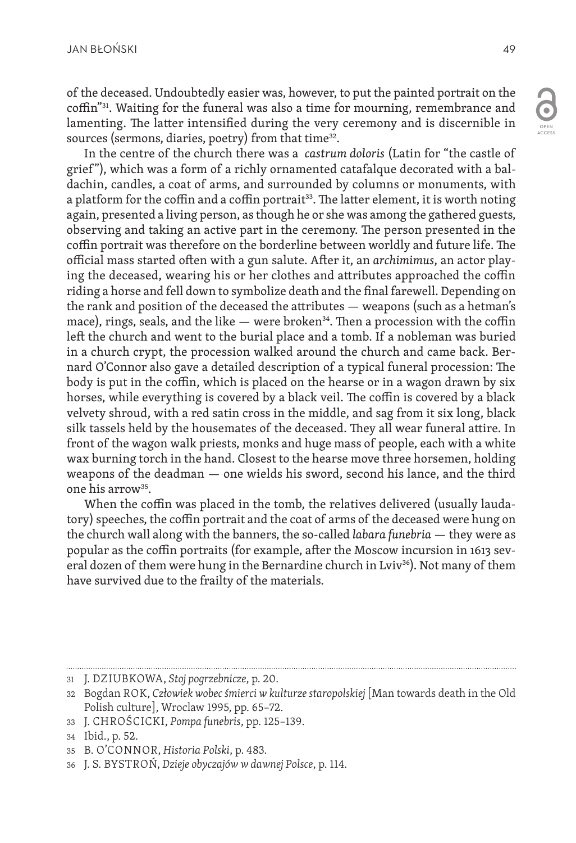ACCESS

of the deceased. Undoubtedly easier was, however, to put the painted portrait on the coffin"31. Waiting for the funeral was also a time for mourning, remembrance and lamenting. The latter intensified during the very ceremony and is discernible in sources (sermons, diaries, poetry) from that time<sup>32</sup>.

In the centre of the church there was a *castrum doloris* (Latin for "the castle of grief "), which was a form of a richly ornamented catafalque decorated with a baldachin, candles, a coat of arms, and surrounded by columns or monuments, with a platform for the coffin and a coffin portrait<sup>33</sup>. The latter element, it is worth noting again, presented a living person, as though he or she was among the gathered guests, observing and taking an active part in the ceremony. The person presented in the coffin portrait was therefore on the borderline between worldly and future life. The official mass started often with a gun salute. After it, an *archimimus*, an actor playing the deceased, wearing his or her clothes and attributes approached the coffin riding a horse and fell down to symbolize death and the final farewell. Depending on the rank and position of the deceased the attributes — weapons (such as a hetman's mace), rings, seals, and the like  $-$  were broken<sup>34</sup>. Then a procession with the coffin left the church and went to the burial place and a tomb. If a nobleman was buried in a church crypt, the procession walked around the church and came back. Bernard O'Connor also gave a detailed description of a typical funeral procession: The body is put in the coffin, which is placed on the hearse or in a wagon drawn by six horses, while everything is covered by a black veil. The coffin is covered by a black velvety shroud, with a red satin cross in the middle, and sag from it six long, black silk tassels held by the housemates of the deceased. They all wear funeral attire. In front of the wagon walk priests, monks and huge mass of people, each with a white wax burning torch in the hand. Closest to the hearse move three horsemen, holding weapons of the deadman — one wields his sword, second his lance, and the third one his arrow35.

When the coffin was placed in the tomb, the relatives delivered (usually laudatory) speeches, the coffin portrait and the coat of arms of the deceased were hung on the church wall along with the banners, the so-called *labara funebria* — they were as popular as the coffin portraits (for example, after the Moscow incursion in 1613 several dozen of them were hung in the Bernardine church in Lviv<sup>36</sup>). Not many of them have survived due to the frailty of the materials.

33 J. CHROŚCICKI, *Pompa funebris*, pp. 125–139.

<sup>31</sup> J. DZIUBKOWA, *Stoj pogrzebnicze*, p. 20.

<sup>32</sup> Bogdan ROK, *Człowiek wobec śmierci w kulturze staropolskiej* [Man towards death in the Old Polish culture], Wroclaw 1995, pp. 65–72.

<sup>34</sup> Ibid., p. 52.

<sup>35</sup> B. O'CONNOR, *Historia Polski*, p. 483.

<sup>36</sup> J. S. BYSTROŃ, *Dzieje obyczajów w dawnej Polsce*, p. 114.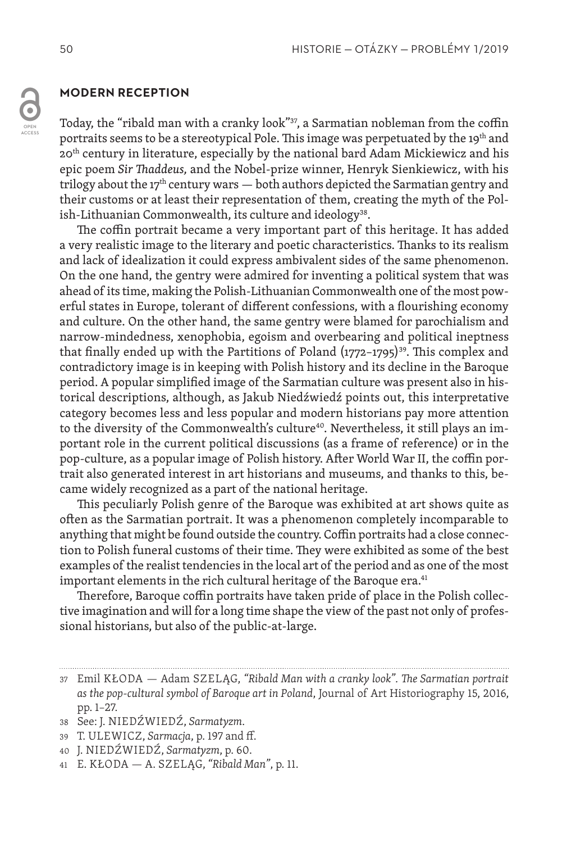#### **MODERN RECEPTION**

Today, the "ribald man with a cranky look"<sup>37</sup>, a Sarmatian nobleman from the coffin portraits seems to be a stereotypical Pole. This image was perpetuated by the 19<sup>th</sup> and 20th century in literature, especially by the national bard Adam Mickiewicz and his epic poem *Sir Thaddeus,* and the Nobel-prize winner, Henryk Sienkiewicz, with his trilogy about the 17<sup>th</sup> century wars  $-$  both authors depicted the Sarmatian gentry and their customs or at least their representation of them, creating the myth of the Polish-Lithuanian Commonwealth, its culture and ideology<sup>38</sup>.

The coffin portrait became a very important part of this heritage. It has added a very realistic image to the literary and poetic characteristics. Thanks to its realism and lack of idealization it could express ambivalent sides of the same phenomenon. On the one hand, the gentry were admired for inventing a political system that was ahead of its time, making the Polish-Lithuanian Commonwealth one of the most powerful states in Europe, tolerant of different confessions, with a flourishing economy and culture. On the other hand, the same gentry were blamed for parochialism and narrow-mindedness, xenophobia, egoism and overbearing and political ineptness that finally ended up with the Partitions of Poland  $(1772-1795)^{39}$ . This complex and contradictory image is in keeping with Polish history and its decline in the Baroque period. A popular simplified image of the Sarmatian culture was present also in historical descriptions, although, as Jakub Niedźwiedź points out, this interpretative category becomes less and less popular and modern historians pay more attention to the diversity of the Commonwealth's culture<sup>40</sup>. Nevertheless, it still plays an important role in the current political discussions (as a frame of reference) or in the pop-culture, as a popular image of Polish history. After World War II, the coffin portrait also generated interest in art historians and museums, and thanks to this, became widely recognized as a part of the national heritage.

This peculiarly Polish genre of the Baroque was exhibited at art shows quite as often as the Sarmatian portrait. It was a phenomenon completely incomparable to anything that might be found outside the country. Coffin portraits had a close connection to Polish funeral customs of their time. They were exhibited as some of the best examples of the realist tendencies in the local art of the period and as one of the most important elements in the rich cultural heritage of the Baroque era.<sup>41</sup>

Therefore, Baroque coffin portraits have taken pride of place in the Polish collective imagination and will for a long time shape the view of the past not only of professional historians, but also of the public-at-large.

- 39 T. ULEWICZ, *Sarmacja*, p. 197 and ff.
- 40 J. NIEDŹWIEDŹ, *Sarmatyzm*, p. 60.
- 41 E. KŁODA A. SZELĄG, *"Ribald Man"*, p. 11.

<sup>37</sup> Emil KŁODA — Adam SZELĄG, *"Ribald Man with a cranky look". The Sarmatian portrait as the pop-cultural symbol of Baroque art in Poland*, Journal of Art Historiography 15, 2016, pp. 1–27.

<sup>38</sup> See: J. NIEDŹWIEDŹ, *Sarmatyzm*.